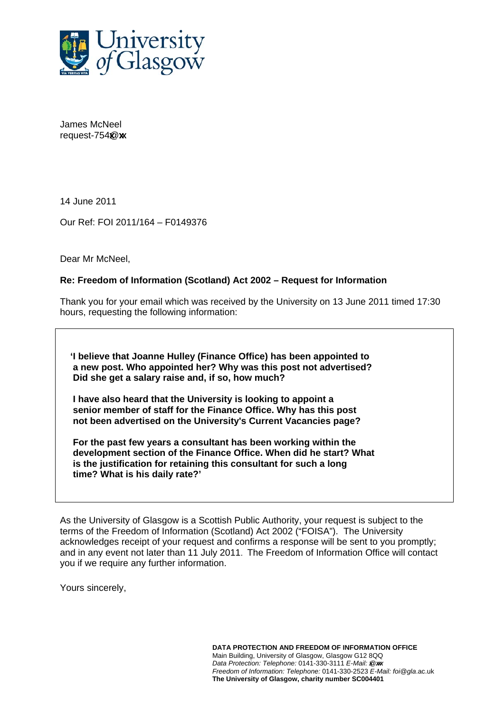

James McNeel request- $754$  $@x$ 

14 June 2011

Our Ref: FOI 2011/164 – F0149376

Dear Mr McNeel,

## **Re: Freedom of Information (Scotland) Act 2002 – Request for Information**

Thank you for your email which was received by the University on 13 June 2011 timed 17:30 hours, requesting the following information:

 **'I believe that Joanne Hulley (Finance Office) has been appointed to a new post. Who appointed her? Why was this post not advertised? Did she get a salary raise and, if so, how much?** 

 **I have also heard that the University is looking to appoint a senior member of staff for the Finance Office. Why has this post not been advertised on the University's Current Vacancies page?** 

 **For the past few years a consultant has been working within the development section of the Finance Office. When did he start? What is the justification for retaining this consultant for such a long time? What is his daily rate?'** 

As the University of Glasgow is a Scottish Public Authority, your request is subject to the terms of the Freedom of Information (Scotland) Act 2002 ("FOISA"). The University acknowledges receipt of your request and confirms a response will be sent to you promptly; and in any event not later than 11 July 2011. The Freedom of Information Office will contact you if we require any further information.

Yours sincerely,